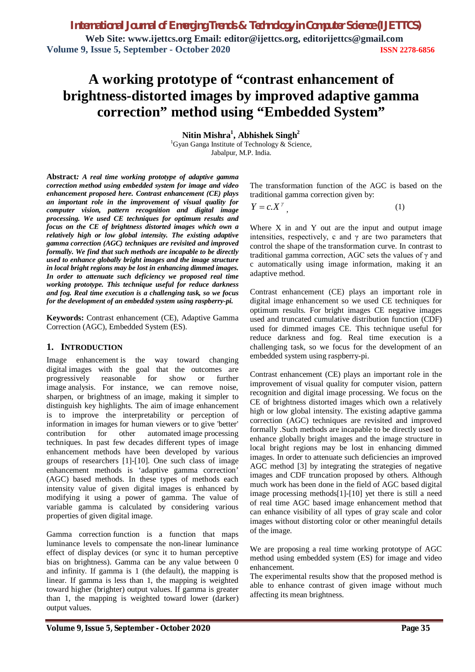*International Journal of Emerging Trends & Technology in Computer Science (IJETTCS)* **Web Site: www.ijettcs.org Email: editor@ijettcs.org, editorijettcs@gmail.com Volume 9, Issue 5, September - October 2020 ISSN 2278-6856**

# **A working prototype of "contrast enhancement of brightness-distorted images by improved adaptive gamma correction" method using "Embedded System"**

**Nitin Mishra<sup>1</sup> , Abhishek Singh<sup>2</sup>**

<sup>1</sup>Gyan Ganga Institute of Technology  $&$  Science, Jabalpur, M.P. India.

**Abstract***: A real time working prototype of adaptive gamma correction method using embedded system for image and video enhancement proposed here. Contrast enhancement (CE) plays an important role in the improvement of visual quality for computer vision, pattern recognition and digital image processing. We used CE techniques for optimum results and focus on the CE of brightness distorted images which own a relatively high or low global intensity. The existing adaptive gamma correction (AGC) techniques are revisited and improved formally. We find that such methods are incapable to be directly used to enhance globally bright images and the image structure in local bright regions may be lost in enhancing dimmed images. In order to attenuate such deficiency we proposed real time working prototype. This technique useful for reduce darkness and fog. Real time execution is a challenging task, so we focus for the development of an embedded system using raspberry-pi.* 

**Keywords:** Contrast enhancement (CE), Adaptive Gamma Correction (AGC), Embedded System (ES).

#### **1. INTRODUCTION**

Image enhancement is the way toward changing digital images with the goal that the outcomes are progressively reasonable for show or further image analysis. For instance, we can remove noise, sharpen, or brightness of an image, making it simpler to distinguish key highlights. The aim of image enhancement is to improve the interpretability or perception of information in images for human viewers or to give 'better' contribution for other automated image processing techniques. In past few decades different types of image enhancement methods have been developed by various groups of researchers [1]-[10]. One such class of image enhancement methods is 'adaptive gamma correction' (AGC) based methods. In these types of methods each intensity value of given digital images is enhanced by modifying it using a power of gamma. The value of variable gamma is calculated by considering various properties of given digital image.

Gamma correction function is a function that maps luminance levels to compensate the non-linear luminance effect of display devices (or sync it to human perceptive bias on brightness). Gamma can be any value between 0 and infinity. If gamma is 1 (the default), the mapping is linear. If gamma is less than 1, the mapping is weighted toward higher (brighter) output values. If gamma is greater than 1, the mapping is weighted toward lower (darker) output values.

The transformation function of the AGC is based on the traditional gamma correction given by:

$$
Y = c \cdot X^{\gamma}, \tag{1}
$$

Where  $X$  in and  $Y$  out are the input and output image intensities, respectively, c and  $\gamma$  are two parameters that control the shape of the transformation curve. In contrast to traditional gamma correction, AGC sets the values of γ and c automatically using image information, making it an adaptive method.

Contrast enhancement (CE) plays an important role in digital image enhancement so we used CE techniques for optimum results. For bright images CE negative images used and truncated cumulative distribution function (CDF) used for dimmed images CE. This technique useful for reduce darkness and fog. Real time execution is a challenging task, so we focus for the development of an embedded system using raspberry-pi.

Contrast enhancement (CE) plays an important role in the improvement of visual quality for computer vision, pattern recognition and digital image processing. We focus on the CE of brightness distorted images which own a relatively high or low global intensity. The existing adaptive gamma correction (AGC) techniques are revisited and improved formally .Such methods are incapable to be directly used to enhance globally bright images and the image structure in local bright regions may be lost in enhancing dimmed images. In order to attenuate such deficiencies an improved AGC method [3] by integrating the strategies of negative images and CDF truncation proposed by others. Although much work has been done in the field of AGC based digital image processing methods[1]-[10] yet there is still a need of real time AGC based image enhancement method that can enhance visibility of all types of gray scale and color images without distorting color or other meaningful details of the image.

We are proposing a real time working prototype of AGC method using embedded system (ES) for image and video enhancement.

The experimental results show that the proposed method is able to enhance contrast of given image without much affecting its mean brightness.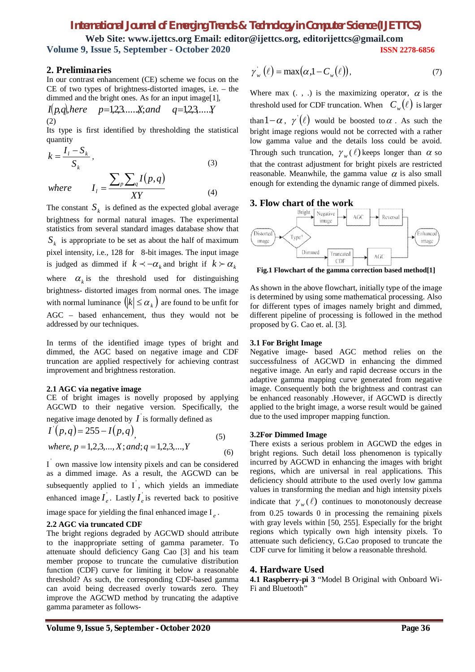## *International Journal of Emerging Trends & Technology in Computer Science (IJETTCS)*

**Web Site: www.ijettcs.org Email: editor@ijettcs.org, editorijettcs@gmail.com Volume 9, Issue 5, September - October 2020 ISSN 2278-6856**

#### **2. Preliminaries**

In our contrast enhancement (CE) scheme we focus on the CE of two types of brightness-distorted images, i.e. – the dimmed and the bright ones. As for an input image[1],

$$
I(p,q)
$$
,*here*  $p=1,2,3, \ldots, X$ ; and  $q=1,2,3, \ldots, Y$  (2)

Its type is first identified by thresholding the statistical quantity

$$
k = \frac{I_1 - S_k}{S_k},
$$
  
\nwhere 
$$
I_1 = \frac{\sum_p \sum_q I(p, q)}{\sum_{\mathbf{V}} V} \tag{4}
$$

*XY*

*l*

The constant  $S_k$  is defined as the expected global average brightness for normal natural images. The experimental statistics from several standard images database show that  $S_k$  is appropriate to be set as about the half of maximum pixel intensity, i.e., 128 for 8-bit images. The input image is judged as dimmed if  $k < -\alpha_k$  and bright if  $k > \alpha_k$ where  $\alpha_k$  is the threshold used for distinguishing brightness- distorted images from normal ones. The image with normal luminance  $\left(\left|k\right| \leq \alpha_k\right)$  are found to be unfit for AGC – based enhancement, thus they would not be addressed by our techniques.

In terms of the identified image types of bright and dimmed, the AGC based on negative image and CDF truncation are applied respectively for achieving contrast improvement and brightness restoration.

#### **2.1 AGC via negative image**

CE of bright images is novelly proposed by applying AGCWD to their negative version. Specifically, the

negative image denoted by  $I$  is formally defined as

$$
I'(p,q) = 255 - I(p,q)
$$
  
where, p = 1,2,3,..., X; and; q = 1,2,3,..., Y (6)

I own massive low intensity pixels and can be considered as a dimmed image. As a result, the AGCWD can be subsequently applied to  $I$ , which yields an immediate enhanced image  $I_e$ . Lastly  $I_e$  is reverted back to positive

image space for yielding the final enhanced image I *e* .

#### **2.2 AGC via truncated CDF**

The bright regions degraded by AGCWD should attribute to the inappropriate setting of gamma parameter. To attenuate should deficiency Gang Cao [3] and his team member propose to truncate the cumulative distribution function (CDF) curve for limiting it below a reasonable threshold? As such, the corresponding CDF-based gamma can avoid being decreased overly towards zero. They improve the AGCWD method by truncating the adaptive gamma parameter as follows-

$$
\gamma_w(\ell) = \max(\alpha, 1 - C_w(\ell)),\tag{7}
$$

Where max  $(., .)$  is the maximizing operator,  $\alpha$  is the threshold used for CDF truncation. When  $C_w(\ell)$  is larger

Through such truncation,  $\gamma_w(\ell)$  keeps longer than  $\alpha$  so than  $1-\alpha$ ,  $\gamma'(\ell)$  would be boosted to  $\alpha$ . As such the bright image regions would not be corrected with a rather low gamma value and the details loss could be avoid. that the contrast adjustment for bright pixels are restricted reasonable. Meanwhile, the gamma value  $\alpha$  is also small enough for extending the dynamic range of dimmed pixels.

#### **3. Flow chart of the work**



**Fig.1 Flowchart of the gamma correction based method[1]**

As shown in the above flowchart, initially type of the image is determined by using some mathematical processing. Also for different types of images namely bright and dimmed, different pipeline of processing is followed in the method proposed by G. Cao et. al. [3].

#### **3.1 For Bright Image**

Negative image- based AGC method relies on the successfulness of AGCWD in enhancing the dimmed negative image. An early and rapid decrease occurs in the adaptive gamma mapping curve generated from negative image. Consequently both the brightness and contrast can be enhanced reasonably .However, if AGCWD is directly applied to the bright image, a worse result would be gained due to the used improper mapping function.

#### **3.2For Dimmed Image**

There exists a serious problem in AGCWD the edges in bright regions. Such detail loss phenomenon is typically incurred by AGCWD in enhancing the images with bright regions, which are universal in real applications. This deficiency should attribute to the used overly low gamma values in transforming the median and high intensity pixels indicate that  $\gamma_w(\ell)$  continues to monotonously decrease from 0.25 towards 0 in processing the remaining pixels with gray levels within [50, 255]. Especially for the bright regions which typically own high intensity pixels. To attenuate such deficiency, G.Cao proposed to truncate the CDF curve for limiting it below a reasonable threshold.

#### **4. Hardware Used**

**4.1 Raspberry-pi 3** "Model B Original with Onboard Wi-Fi and Bluetooth"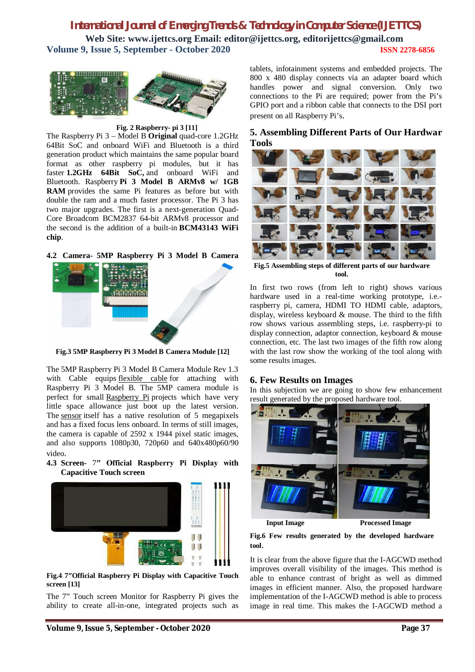## *International Journal of Emerging Trends & Technology in Computer Science (IJETTCS)* **Web Site: www.ijettcs.org Email: editor@ijettcs.org, editorijettcs@gmail.com Volume 9, Issue 5, September - October 2020 ISSN 2278-6856**



#### **Fig. 2 Raspberry- pi 3 [11]**

The Raspberry Pi 3 – Model B **Original** quad-core 1.2GHz 64Bit SoC and onboard WiFi and Bluetooth is a third generation product which maintains the same popular board format as other raspberry pi modules, but it has faster **1.2GHz 64Bit SoC,** and onboard WiFi and Bluetooth. Raspberry **Pi 3 Model B ARMv8 w/ 1GB RAM** provides the same Pi features as before but with double the ram and a much faster processor. The Pi 3 has two major upgrades. The first is a next-generation Quad-Core Broadcom BCM2837 64-bit ARMv8 processor and the second is the addition of a built-in **BCM43143 WiFi chip**.

**4.2 Camera- 5MP Raspberry Pi 3 Model B Camera**



**Fig.3 5MP Raspberry Pi 3 Model B Camera Module [12]**

The 5MP Raspberry Pi 3 Model B Camera Module Rev 1.3 with Cable equips flexible cable for attaching with Raspberry Pi 3 Model B. The 5MP camera module is perfect for small Raspberry Pi projects which have very little space allowance just boot up the latest version. The sensor itself has a native resolution of 5 megapixels and has a fixed focus lens onboard. In terms of still images, the camera is capable of 2592 x 1944 pixel static images, and also supports 1080p30, 720p60 and 640x480p60/90 video.

**4.3 Screen-** 7**″ Official Raspberry Pi Display with Capacitive Touch screen**



**Fig.4 7″Official Raspberry Pi Display with Capacitive Touch screen [13]**

The 7" Touch screen Monitor for Raspberry Pi gives the ability to create all-in-one, integrated projects such as tablets, infotainment systems and embedded projects. The 800 x 480 display connects via an adapter board which handles power and signal conversion. Only two connections to the Pi are required; power from the Pi's GPIO port and a ribbon cable that connects to the DSI port present on all Raspberry Pi's.

## **5. Assembling Different Parts of Our Hardwar Tools**



**Fig.5 Assembling steps of different parts of our hardware tool.**

In first two rows (from left to right) shows various hardware used in a real-time working prototype, i.e. raspberry pi, camera, HDMI TO HDMI cable, adaptors, display, wireless keyboard & mouse. The third to the fifth row shows various assembling steps, i.e. raspberry-pi to display connection, adaptor connection, keyboard & mouse connection, etc. The last two images of the fifth row along with the last row show the working of the tool along with some results images.

#### **6. Few Results on Images**

In this subjection we are going to show few enhancement result generated by the proposed hardware tool.



**Input Image Processed Image** 

**Fig.6 Few results generated by the developed hardware tool**.

It is clear from the above figure that the I-AGCWD method improves overall visibility of the images. This method is able to enhance contrast of bright as well as dimmed images in efficient manner. Also, the proposed hardware implementation of the I-AGCWD method is able to process image in real time. This makes the I-AGCWD method a